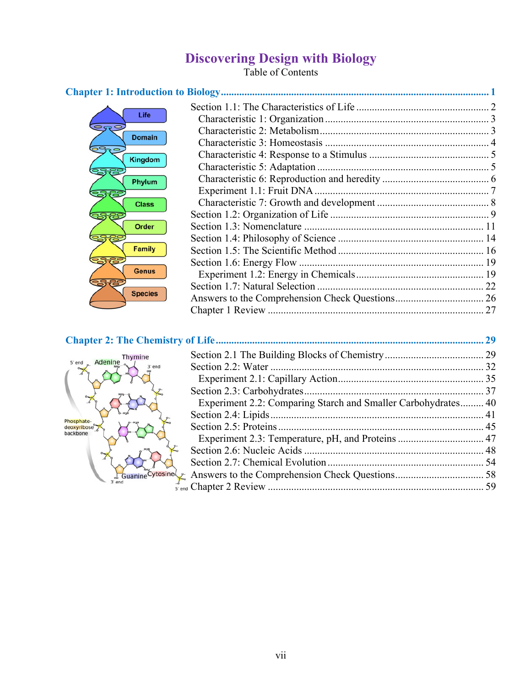# **Discovering Design with Biology**

Table of Contents

| Life<br>⊃ಾ⊂<br><b>Domain</b><br>Kingdom<br>Phylum<br>ಜೆಗೆ<br><b>Class</b><br>Order<br><b>Family</b><br><b>Genus</b> |  |
|---------------------------------------------------------------------------------------------------------------------|--|
| <b>Species</b>                                                                                                      |  |

| Thymine                               |                                                               |  |
|---------------------------------------|---------------------------------------------------------------|--|
| 5' end Adenine                        |                                                               |  |
|                                       |                                                               |  |
|                                       |                                                               |  |
|                                       | Experiment 2.2: Comparing Starch and Smaller Carbohydrates 40 |  |
|                                       |                                                               |  |
| Phosphate-<br>deoxyribose<br>backbone |                                                               |  |
|                                       |                                                               |  |
|                                       |                                                               |  |
|                                       |                                                               |  |
|                                       |                                                               |  |
|                                       |                                                               |  |
|                                       |                                                               |  |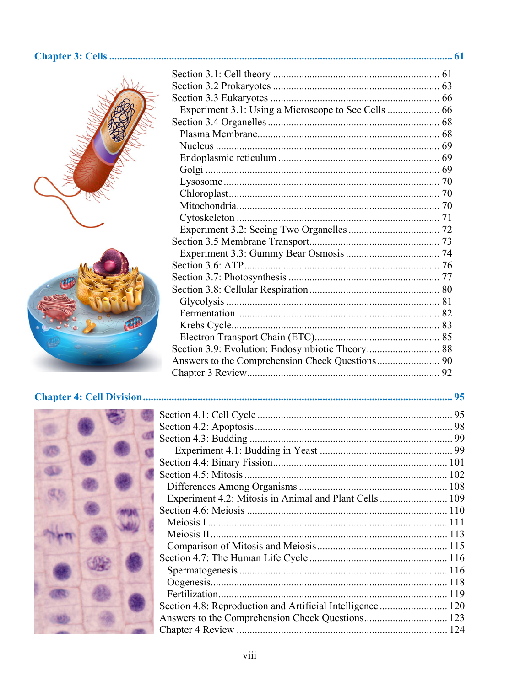#### 





| Experiment 4.2: Mitosis in Animal and Plant Cells  109 |  |
|--------------------------------------------------------|--|
|                                                        |  |
|                                                        |  |
|                                                        |  |
|                                                        |  |
|                                                        |  |
|                                                        |  |
|                                                        |  |
|                                                        |  |
|                                                        |  |
|                                                        |  |
|                                                        |  |
|                                                        |  |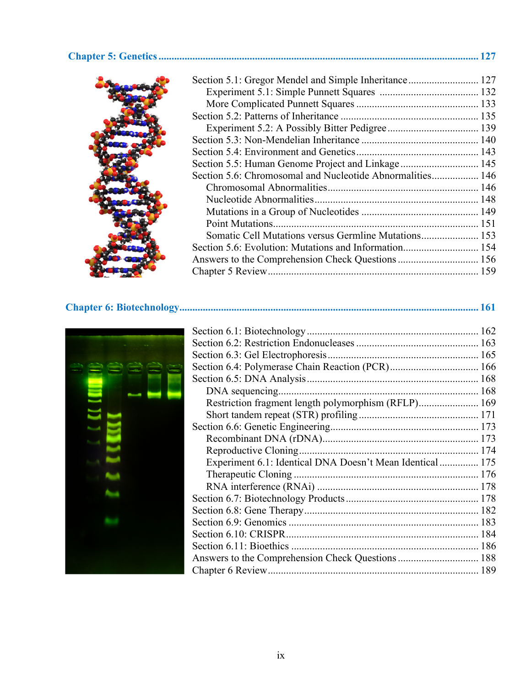#### **Chapter 5: Genetics ........................................................................................................................... 127**

| Section 5.6: Chromosomal and Nucleotide Abnormalities 146 |  |
|-----------------------------------------------------------|--|
|                                                           |  |
|                                                           |  |
|                                                           |  |
|                                                           |  |
| Somatic Cell Mutations versus Germline Mutations 153      |  |
|                                                           |  |
|                                                           |  |
|                                                           |  |
|                                                           |  |

**Chapter 6: Biotechnology ................................................................................................................... 161**

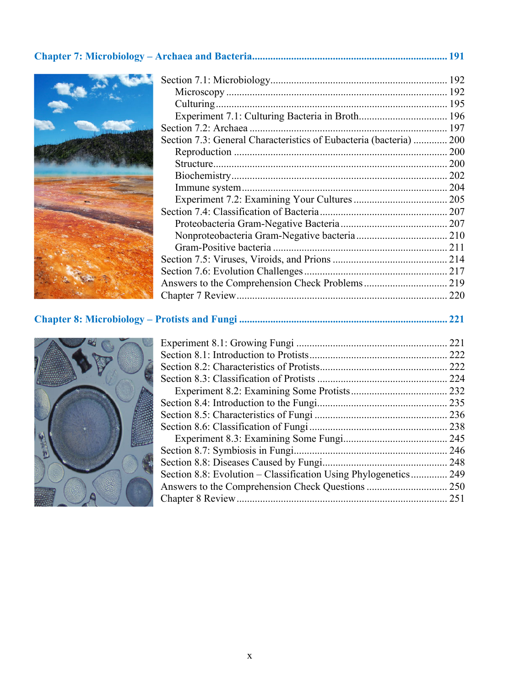### **Chapter 7: Microbiology – Archaea and Bacteria ........................................................................... 191**



| Section 7.3: General Characteristics of Eubacteria (bacteria)  200 |  |
|--------------------------------------------------------------------|--|
|                                                                    |  |
|                                                                    |  |
|                                                                    |  |
|                                                                    |  |
|                                                                    |  |
|                                                                    |  |
|                                                                    |  |
|                                                                    |  |
|                                                                    |  |
|                                                                    |  |
|                                                                    |  |
|                                                                    |  |
|                                                                    |  |
|                                                                    |  |

## **Chapter 8: Microbiology – Protists and Fungi ................................................................................ 221**



|                                                             | 222<br>222 |
|-------------------------------------------------------------|------------|
|                                                             |            |
|                                                             | 232        |
|                                                             |            |
|                                                             |            |
|                                                             |            |
|                                                             |            |
|                                                             | 246        |
|                                                             | 248        |
| Section 8.8: Evolution – Classification Using Phylogenetics | 249        |
|                                                             | 250        |
|                                                             | 251        |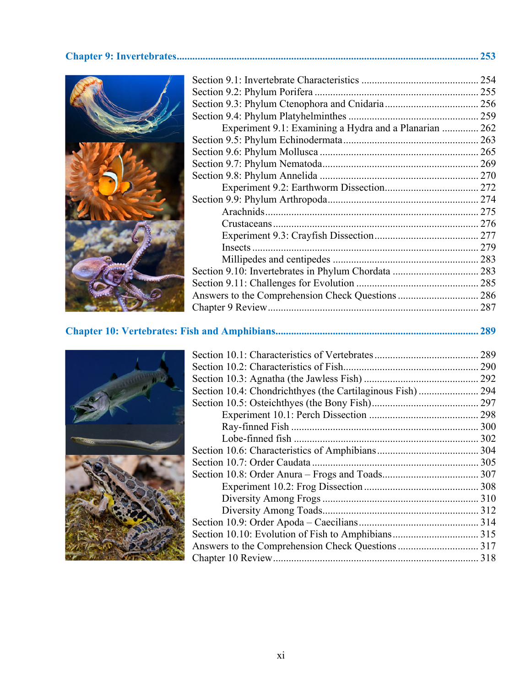#### **Chapter 9: Invertebrates .................................................................................................................... 253**



| Experiment 9.1: Examining a Hydra and a Planarian  262 |  |
|--------------------------------------------------------|--|
|                                                        |  |
|                                                        |  |
|                                                        |  |
|                                                        |  |
|                                                        |  |
|                                                        |  |
|                                                        |  |
|                                                        |  |
|                                                        |  |
|                                                        |  |
|                                                        |  |
|                                                        |  |
|                                                        |  |
|                                                        |  |
|                                                        |  |
|                                                        |  |

**Chapter 10: Vertebrates: Fish and Amphibians .............................................................................. 289**

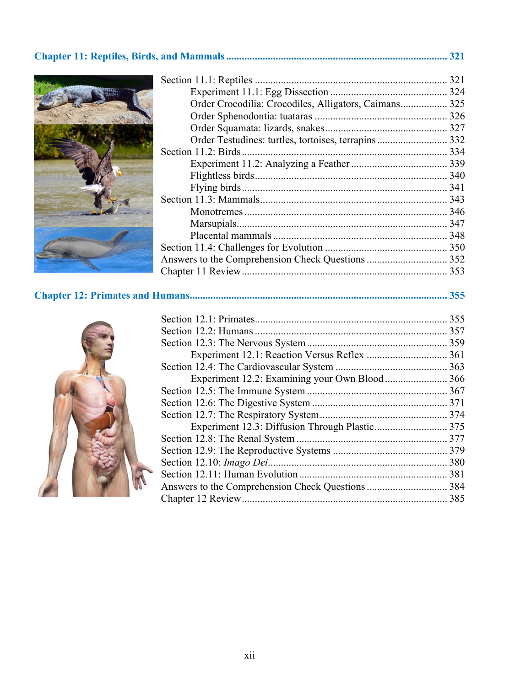## **Chapter 11: Reptiles, Birds, and Mammals ..................................................................................... 321**



| Order Crocodilia: Crocodiles, Alligators, Caimans 325 |  |
|-------------------------------------------------------|--|
|                                                       |  |
|                                                       |  |
| Order Testudines: turtles, tortoises, terrapins 332   |  |
|                                                       |  |
|                                                       |  |
|                                                       |  |
|                                                       |  |
|                                                       |  |
|                                                       |  |
|                                                       |  |
|                                                       |  |
|                                                       |  |
|                                                       |  |
|                                                       |  |

**Chapter 12: Primates and Humans ................................................................................................... 355**

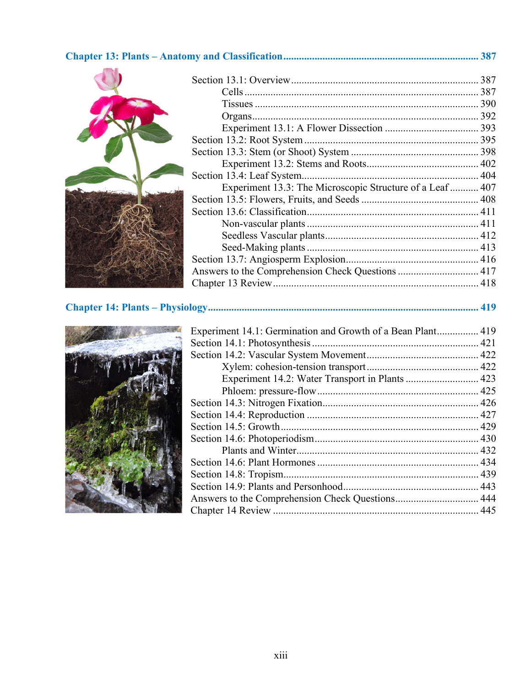### **Chapter 13: Plants – Anatomy and Classification ........................................................................... 387**



| Experiment 13.3: The Microscopic Structure of a Leaf 407 |  |
|----------------------------------------------------------|--|
|                                                          |  |
|                                                          |  |
|                                                          |  |
|                                                          |  |
|                                                          |  |
|                                                          |  |
| Answers to the Comprehension Check Questions  417        |  |
|                                                          |  |
|                                                          |  |

**Chapter 14: Plants – Physiology ........................................................................................................ 419**



| Experiment 14.1: Germination and Growth of a Bean Plant 419 |  |
|-------------------------------------------------------------|--|
|                                                             |  |
|                                                             |  |
|                                                             |  |
| Experiment 14.2: Water Transport in Plants  423             |  |
|                                                             |  |
|                                                             |  |
|                                                             |  |
|                                                             |  |
|                                                             |  |
|                                                             |  |
|                                                             |  |
|                                                             |  |
|                                                             |  |
|                                                             |  |
|                                                             |  |
|                                                             |  |